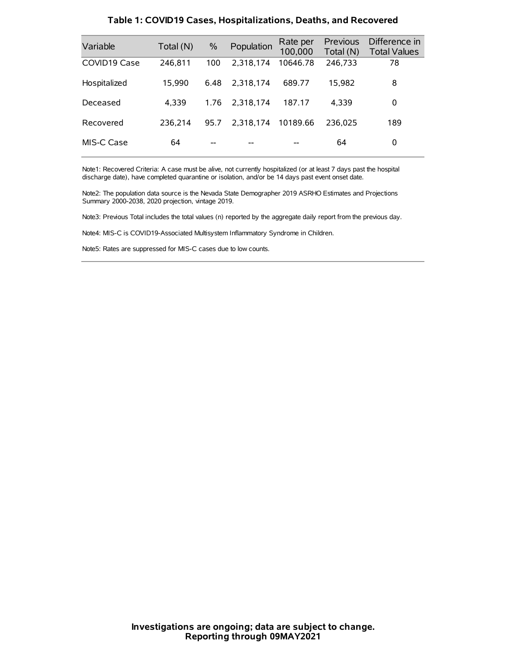| Variable     | Total (N) | $\frac{0}{0}$ | Population | Rate per<br>100,000 | Previous<br>Total (N) | Difference in<br><b>Total Values</b> |
|--------------|-----------|---------------|------------|---------------------|-----------------------|--------------------------------------|
| COVID19 Case | 246,811   | 100           | 2,318,174  | 10646.78            | 246,733               | 78                                   |
| Hospitalized | 15,990    | 6.48          | 2.318.174  | 689.77              | 15,982                | 8                                    |
| Deceased     | 4,339     | 1.76          | 2.318.174  | 187.17              | 4.339                 | 0                                    |
| Recovered    | 236.214   | 95.7          | 2.318.174  | 10189.66            | 236.025               | 189                                  |
| MIS-C Case   | 64        | --            |            |                     | 64                    | 0                                    |

#### **Table 1: COVID19 Cases, Hospitalizations, Deaths, and Recovered**

Note1: Recovered Criteria: A case must be alive, not currently hospitalized (or at least 7 days past the hospital discharge date), have completed quarantine or isolation, and/or be 14 days past event onset date.

Note2: The population data source is the Nevada State Demographer 2019 ASRHO Estimates and Projections Summary 2000-2038, 2020 projection, vintage 2019.

Note3: Previous Total includes the total values (n) reported by the aggregate daily report from the previous day.

Note4: MIS-C is COVID19-Associated Multisystem Inflammatory Syndrome in Children.

Note5: Rates are suppressed for MIS-C cases due to low counts.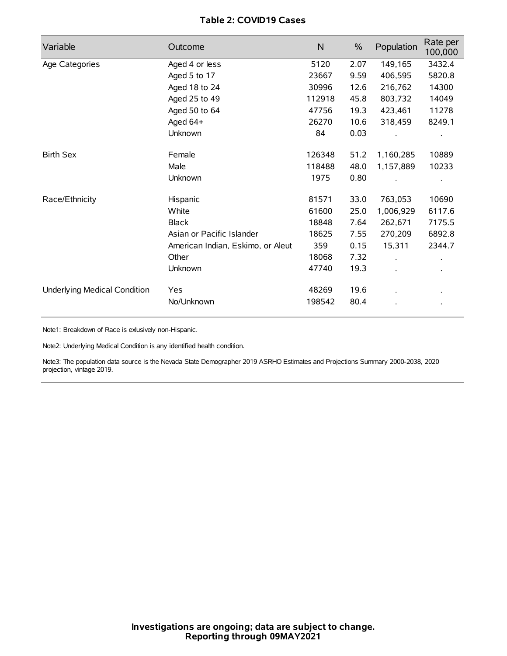## **Table 2: COVID19 Cases**

| Variable                     | Outcome                           | $\mathsf{N}$ | $\frac{0}{0}$ | Population | Rate per<br>100,000 |
|------------------------------|-----------------------------------|--------------|---------------|------------|---------------------|
| Age Categories               | Aged 4 or less                    | 5120         | 2.07          | 149,165    | 3432.4              |
|                              | Aged 5 to 17                      | 23667        | 9.59          | 406,595    | 5820.8              |
|                              | Aged 18 to 24                     | 30996        | 12.6          | 216,762    | 14300               |
|                              | Aged 25 to 49                     | 112918       | 45.8          | 803,732    | 14049               |
|                              | Aged 50 to 64                     | 47756        | 19.3          | 423,461    | 11278               |
|                              | Aged $64+$                        | 26270        | 10.6          | 318,459    | 8249.1              |
|                              | Unknown                           | 84           | 0.03          |            |                     |
| <b>Birth Sex</b>             | Female                            | 126348       | 51.2          | 1,160,285  | 10889               |
|                              | Male                              | 118488       | 48.0          | 1,157,889  | 10233               |
|                              | Unknown                           | 1975         | 0.80          |            |                     |
| Race/Ethnicity               | Hispanic                          | 81571        | 33.0          | 763,053    | 10690               |
|                              | White                             | 61600        | 25.0          | 1,006,929  | 6117.6              |
|                              | <b>Black</b>                      | 18848        | 7.64          | 262,671    | 7175.5              |
|                              | Asian or Pacific Islander         | 18625        | 7.55          | 270,209    | 6892.8              |
|                              | American Indian, Eskimo, or Aleut | 359          | 0.15          | 15,311     | 2344.7              |
|                              | Other                             | 18068        | 7.32          |            |                     |
|                              | Unknown                           | 47740        | 19.3          |            |                     |
| Underlying Medical Condition | <b>Yes</b>                        | 48269        | 19.6          |            |                     |
|                              | No/Unknown                        | 198542       | 80.4          |            |                     |

Note1: Breakdown of Race is exlusively non-Hispanic.

Note2: Underlying Medical Condition is any identified health condition.

Note3: The population data source is the Nevada State Demographer 2019 ASRHO Estimates and Projections Summary 2000-2038, 2020 projection, vintage 2019.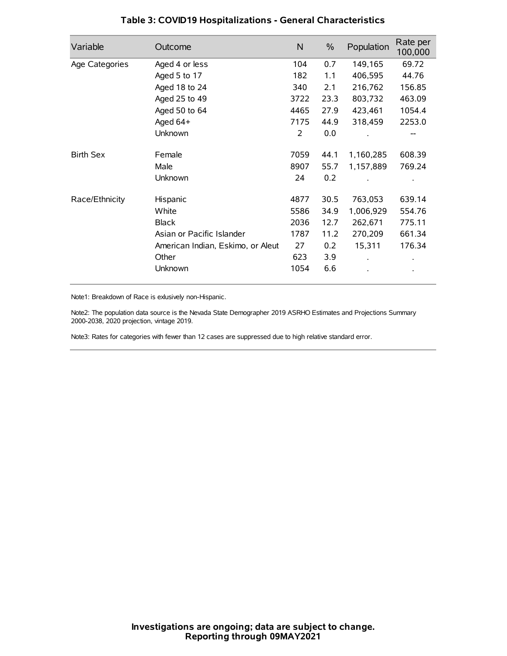| Variable         | Outcome                           | N    | $\%$ | Population | Rate per<br>100,000 |
|------------------|-----------------------------------|------|------|------------|---------------------|
| Age Categories   | Aged 4 or less                    | 104  | 0.7  | 149,165    | 69.72               |
|                  | Aged 5 to 17                      | 182  | 1.1  | 406,595    | 44.76               |
|                  | Aged 18 to 24                     | 340  | 2.1  | 216,762    | 156.85              |
|                  | Aged 25 to 49                     | 3722 | 23.3 | 803,732    | 463.09              |
|                  | Aged 50 to 64                     | 4465 | 27.9 | 423,461    | 1054.4              |
|                  | Aged 64+                          | 7175 | 44.9 | 318,459    | 2253.0              |
|                  | Unknown                           | 2    | 0.0  |            |                     |
| <b>Birth Sex</b> | Female                            | 7059 | 44.1 | 1,160,285  | 608.39              |
|                  | Male                              | 8907 | 55.7 | 1,157,889  | 769.24              |
|                  | Unknown                           | 24   | 0.2  |            |                     |
| Race/Ethnicity   | Hispanic                          | 4877 | 30.5 | 763,053    | 639.14              |
|                  | White                             | 5586 | 34.9 | 1,006,929  | 554.76              |
|                  | <b>Black</b>                      | 2036 | 12.7 | 262,671    | 775.11              |
|                  | Asian or Pacific Islander         | 1787 | 11.2 | 270,209    | 661.34              |
|                  | American Indian, Eskimo, or Aleut | 27   | 0.2  | 15,311     | 176.34              |
|                  | Other                             | 623  | 3.9  |            |                     |
|                  | Unknown                           | 1054 | 6.6  |            |                     |

### **Table 3: COVID19 Hospitalizations - General Characteristics**

Note1: Breakdown of Race is exlusively non-Hispanic.

Note2: The population data source is the Nevada State Demographer 2019 ASRHO Estimates and Projections Summary 2000-2038, 2020 projection, vintage 2019.

Note3: Rates for categories with fewer than 12 cases are suppressed due to high relative standard error.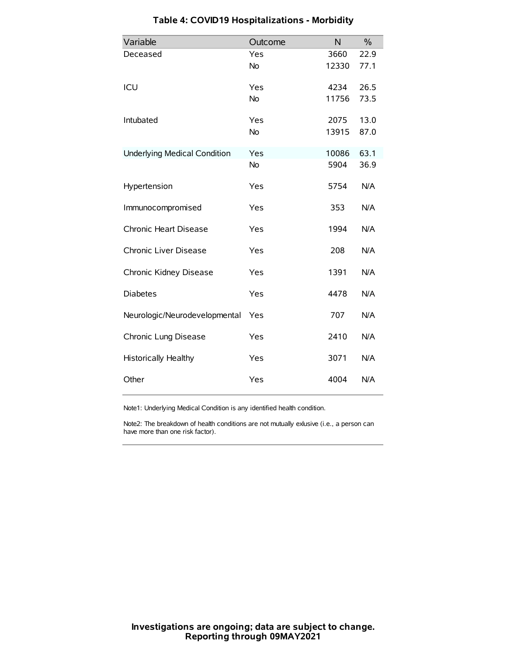| Variable                            | Outcome   | N     | $\%$ |
|-------------------------------------|-----------|-------|------|
| Deceased                            | Yes       | 3660  | 22.9 |
|                                     | <b>No</b> | 12330 | 77.1 |
| ICU                                 | Yes       | 4234  | 26.5 |
|                                     | <b>No</b> | 11756 | 73.5 |
| Intubated                           | Yes       | 2075  | 13.0 |
|                                     | <b>No</b> | 13915 | 87.0 |
| <b>Underlying Medical Condition</b> | Yes       | 10086 | 63.1 |
|                                     | No        | 5904  | 36.9 |
| Hypertension                        | Yes       | 5754  | N/A  |
| Immunocompromised                   | Yes       | 353   | N/A  |
| Chronic Heart Disease               | Yes       | 1994  | N/A  |
| Chronic Liver Disease               | Yes       | 208   | N/A  |
| Chronic Kidney Disease              | Yes       | 1391  | N/A  |
| <b>Diabetes</b>                     | Yes       | 4478  | N/A  |
| Neurologic/Neurodevelopmental       | Yes       | 707   | N/A  |
| Chronic Lung Disease                | Yes       | 2410  | N/A  |
| <b>Historically Healthy</b>         | Yes       | 3071  | N/A  |
| Other                               | Yes       | 4004  | N/A  |

# **Table 4: COVID19 Hospitalizations - Morbidity**

Note1: Underlying Medical Condition is any identified health condition.

Note2: The breakdown of health conditions are not mutually exlusive (i.e., a person can have more than one risk factor).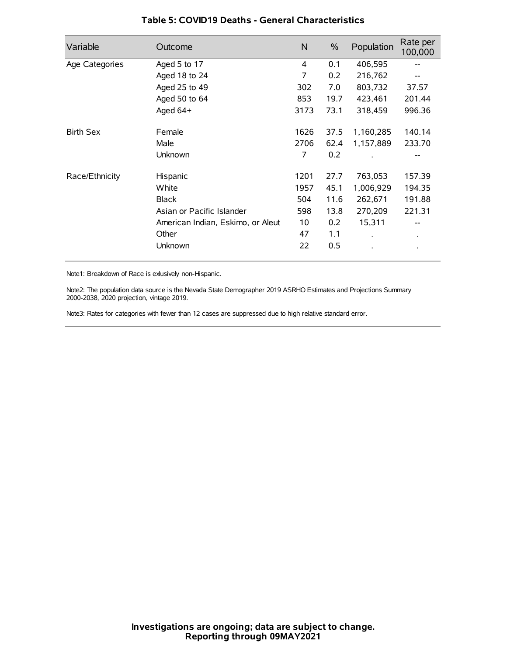| Variable         | Outcome                           | $\mathsf{N}$ | $\%$ | Population           | Rate per<br>100,000 |
|------------------|-----------------------------------|--------------|------|----------------------|---------------------|
| Age Categories   | Aged 5 to 17                      | 4            | 0.1  | 406,595              | --                  |
|                  | Aged 18 to 24                     | 7            | 0.2  | 216,762              |                     |
|                  | Aged 25 to 49                     | 302          | 7.0  | 803,732              | 37.57               |
|                  | Aged 50 to 64                     | 853          | 19.7 | 423,461              | 201.44              |
|                  | Aged 64+                          | 3173         | 73.1 | 318,459              | 996.36              |
| <b>Birth Sex</b> | Female                            | 1626         | 37.5 | 1,160,285            | 140.14              |
|                  | Male                              | 2706         | 62.4 | 1,157,889            | 233.70              |
|                  | Unknown                           | 7            | 0.2  |                      |                     |
| Race/Ethnicity   | Hispanic                          | 1201         | 27.7 | 763,053              | 157.39              |
|                  | White                             | 1957         | 45.1 | 1,006,929            | 194.35              |
|                  | <b>Black</b>                      | 504          | 11.6 | 262,671              | 191.88              |
|                  | Asian or Pacific Islander         | 598          | 13.8 | 270,209              | 221.31              |
|                  | American Indian, Eskimo, or Aleut | 10           | 0.2  | 15,311               |                     |
|                  | Other                             | 47           | 1.1  | $\ddot{\phantom{0}}$ | $\bullet$           |
|                  | Unknown                           | 22           | 0.5  |                      |                     |

### **Table 5: COVID19 Deaths - General Characteristics**

Note1: Breakdown of Race is exlusively non-Hispanic.

Note2: The population data source is the Nevada State Demographer 2019 ASRHO Estimates and Projections Summary 2000-2038, 2020 projection, vintage 2019.

Note3: Rates for categories with fewer than 12 cases are suppressed due to high relative standard error.